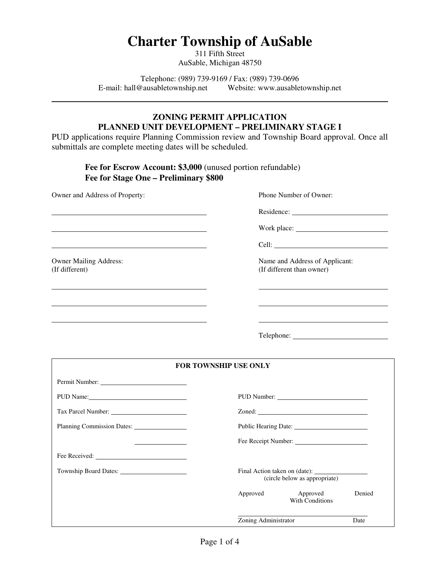# **Charter Township of AuSable**

311 Fifth Street AuSable, Michigan 48750

Telephone: (989) 739-9169 / Fax: (989) 739-0696 E-mail: hall@ausabletownship.net Website: www.ausabletownship.net

### **ZONING PERMIT APPLICATION PLANNED UNIT DEVELOPMENT – PRELIMINARY STAGE I**

PUD applications require Planning Commission review and Township Board approval. Once all submittals are complete meeting dates will be scheduled.

 **Fee for Escrow Account: \$3,000** (unused portion refundable)  **Fee for Stage One – Preliminary \$800** 

Owner and Address of Property: Phone Number of Owner:

l

l

 $\overline{a}$ 

Residence:

Work place:

<u>Cell:</u> Cell: <u>Cell:</u> Cell: 2002. Cell: 2003. Cell: 2004. Cell: 2004. Cell: 2004. Cell: 2004. Cell: 2004. Cell: 2004. Cell: 2004. Cell: 2004. Cell: 2004. Cell: 2004. Cell: 2004. Cell: 2004. Cell: 2004. Cell: 2004. Cell: 20

Owner Mailing Address: Name and Address of Applicant: (If different) (If different than owner) (If different than owner)

Telephone: New York 1999

| <b>FOR TOWNSHIP USE ONLY</b> |                                      |        |
|------------------------------|--------------------------------------|--------|
|                              |                                      |        |
| PUD Name:                    | PUD Number:                          |        |
|                              |                                      |        |
| Planning Commission Dates:   | Public Hearing Date: 1988.           |        |
|                              | Fee Receipt Number:                  |        |
|                              |                                      |        |
|                              | (circle below as appropriate)        |        |
|                              | Approved Approved<br>With Conditions | Denied |
|                              | Zoning Administrator                 | Date   |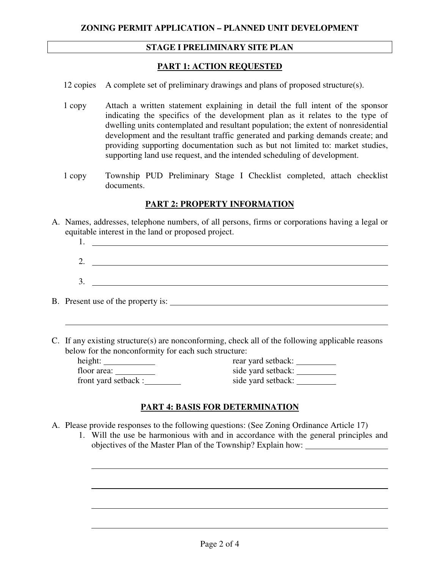### **STAGE I PRELIMINARY SITE PLAN**

#### **PART 1: ACTION REQUESTED**

12 copies A complete set of preliminary drawings and plans of proposed structure(s).

- 1 copy Attach a written statement explaining in detail the full intent of the sponsor indicating the specifics of the development plan as it relates to the type of dwelling units contemplated and resultant population; the extent of nonresidential development and the resultant traffic generated and parking demands create; and providing supporting documentation such as but not limited to: market studies, supporting land use request, and the intended scheduling of development.
- 1 copy Township PUD Preliminary Stage I Checklist completed, attach checklist documents.

#### **PART 2: PROPERTY INFORMATION**

- A. Names, addresses, telephone numbers, of all persons, firms or corporations having a legal or equitable interest in the land or proposed project.
	- 1. 2. 3.

B. Present use of the property is:

 $\overline{a}$ 

 $\overline{a}$ 

 $\overline{a}$ 

C. If any existing structure(s) are nonconforming, check all of the following applicable reasons below for the nonconformity for each such structure:

| height:              | rear yard setback: |
|----------------------|--------------------|
| floor area:          | side yard setback: |
| front yard setback : | side yard setback: |

| rear yard setback: |  |
|--------------------|--|
| side yard setback: |  |
| side yard setback: |  |

### **PART 4: BASIS FOR DETERMINATION**

- A. Please provide responses to the following questions: (See Zoning Ordinance Article 17)
	- 1. Will the use be harmonious with and in accordance with the general principles and objectives of the Master Plan of the Township? Explain how: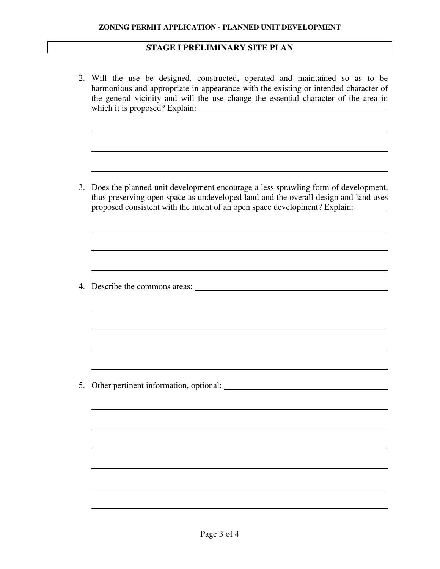## **STAGE I PRELIMINARY SITE PLAN**

|    | 2. Will the use be designed, constructed, operated and maintained so as to be<br>harmonious and appropriate in appearance with the existing or intended character of<br>the general vicinity and will the use change the essential character of the area in |
|----|-------------------------------------------------------------------------------------------------------------------------------------------------------------------------------------------------------------------------------------------------------------|
|    |                                                                                                                                                                                                                                                             |
| 3. | Does the planned unit development encourage a less sprawling form of development,<br>thus preserving open space as undeveloped land and the overall design and land uses<br>proposed consistent with the intent of an open space development? Explain:      |
|    |                                                                                                                                                                                                                                                             |
|    | 4. Describe the commons areas:                                                                                                                                                                                                                              |
|    |                                                                                                                                                                                                                                                             |
|    | 5. Other pertinent information, optional:                                                                                                                                                                                                                   |
|    |                                                                                                                                                                                                                                                             |
|    |                                                                                                                                                                                                                                                             |
|    |                                                                                                                                                                                                                                                             |